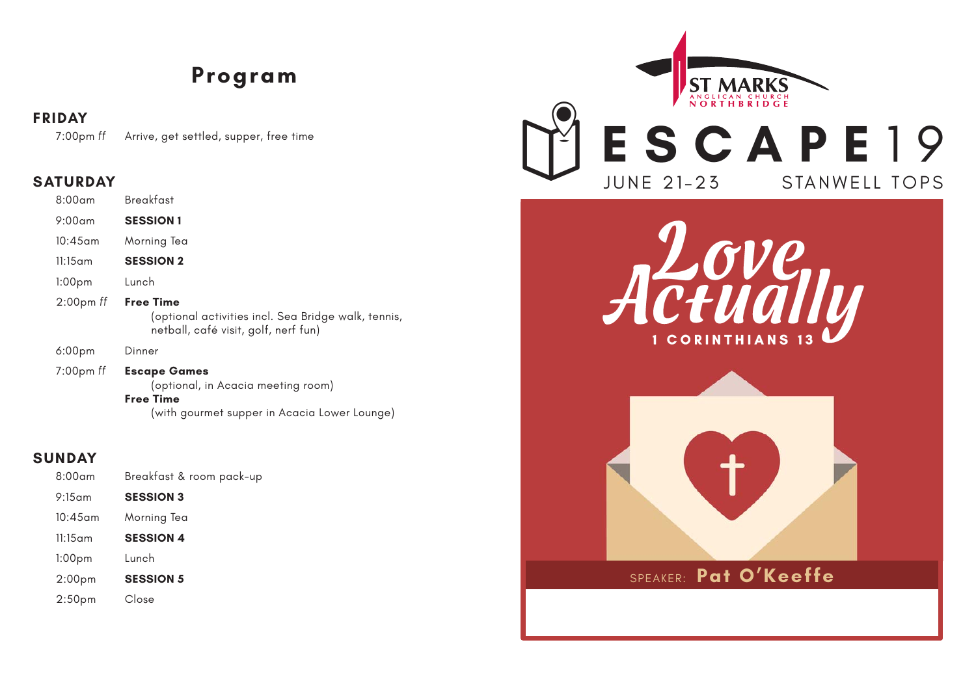## **Program**

### **FRIDAY**

7:00pm *ff* Arrive, get settled, supper, free time

### **SATURDAY**

| $8:00$ am          | <b>Breakfast</b>                                                                                                |
|--------------------|-----------------------------------------------------------------------------------------------------------------|
| $9:00$ am          | <b>SESSION 1</b>                                                                                                |
| $10:45$ am         | Morning Tea                                                                                                     |
| $11:15$ am         | <b>SESSION 2</b>                                                                                                |
| 1:00 <sub>pm</sub> | Lunch                                                                                                           |
| $2:00$ pm $ff$     | <b>Free Time</b><br>(optional activities incl. Sea Bridge walk, tennis,<br>netball, café visit, golf, nerf fun) |
| 6:00 <sub>pm</sub> | Dinner                                                                                                          |
|                    |                                                                                                                 |

 7:00pm *ff* **Escape Games** (optional, in Acacia meeting room) **Free Time**  (with gourmet supper in Acacia Lower Lounge)

### **SUNDAY**

| $8:00$ am          | Breakfast & room pack-up |
|--------------------|--------------------------|
| $9:15$ am          | <b>SESSION 3</b>         |
| $10:45$ am         | Morning Tea              |
| $11:15$ am         | <b>SESSION 4</b>         |
| 1:00 <sub>pm</sub> | Lunch                    |
| 2:00 <sub>pm</sub> | <b>SESSION 5</b>         |
| 2:50 <sub>pm</sub> | Close                    |



1 CORINTHIANS



SPEAKER: **Pat O'Keeffe**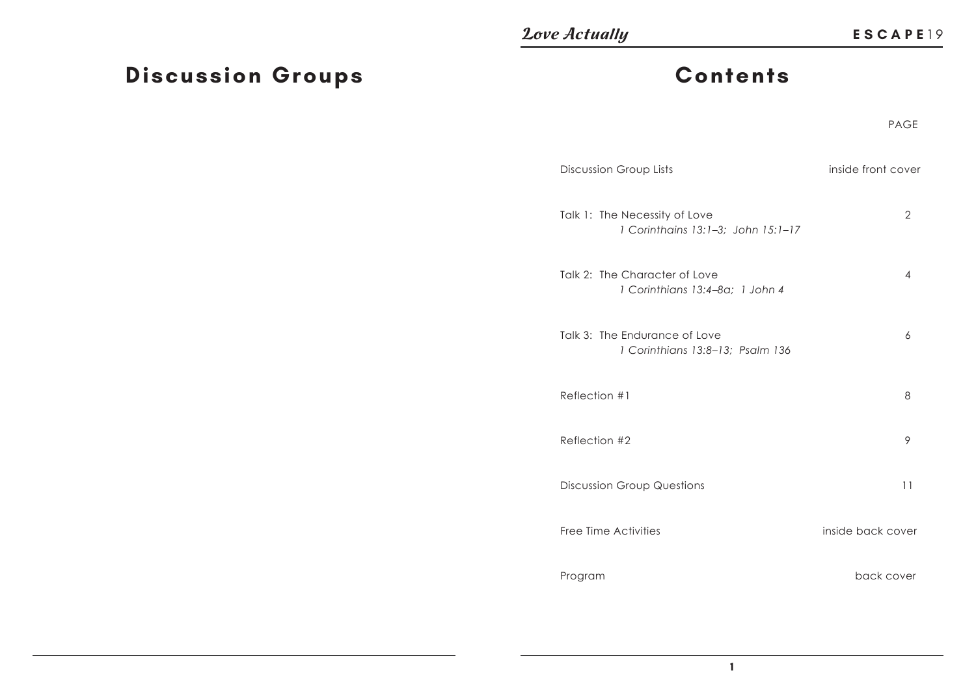# **Discussion Groups**

## **Contents**

#### e de la provincia de la provincia de la provincia de la provincia de la provincia de la provincia de la provincia de la provincia de la provincia de la provincia de la provincia de la provincia de la provincia de la provin PAGE

| Discussion Group Lists                                              | inside front cover |
|---------------------------------------------------------------------|--------------------|
| Talk 1: The Necessity of Love<br>1 Corinthains 13:1-3; John 15:1-17 | $\overline{2}$     |
| Talk 2: The Character of Love<br>1 Corinthians 13:4-8a; 1 John 4    | 4                  |
| Talk 3: The Endurance of Love<br>1 Corinthians 13:8-13; Psalm 136   | 6                  |
| Reflection #1                                                       | 8                  |
| Reflection #2                                                       | 9                  |
| <b>Discussion Group Questions</b>                                   | 11                 |
| Free Time Activities                                                | inside back cover  |
| Program                                                             | back cover         |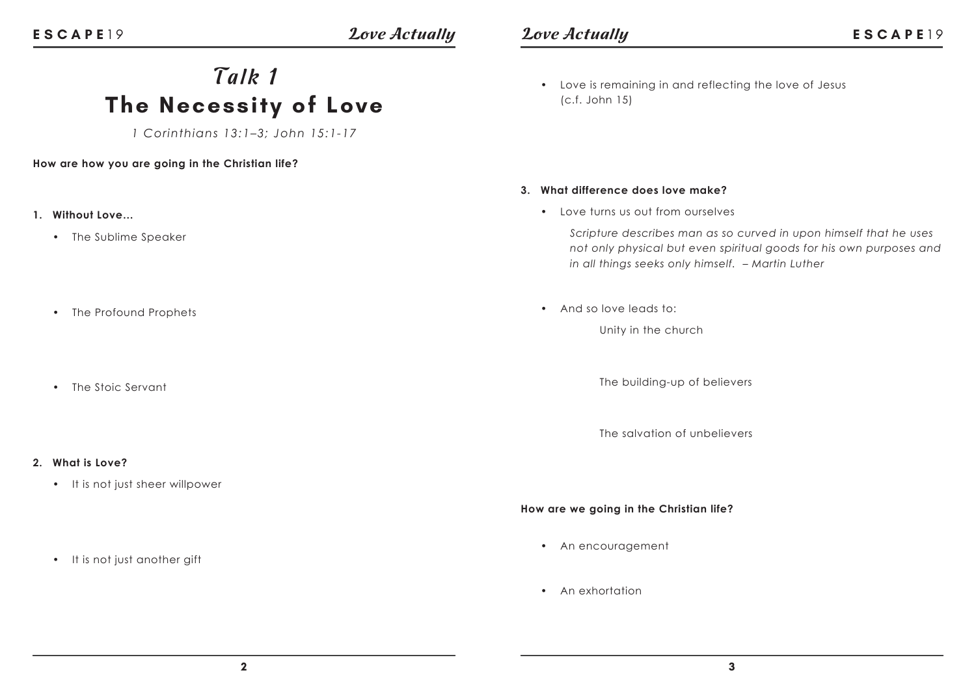# *Talk 1* **The Necessity of Love**

*1 Corinthians 13:1–3; John 15:1-17*

### **How are how you are going in the Christian life?**

- **1. Without Love…**
	- The Sublime Speaker
	- The Profound Prophets
	- The Stoic Servant

### **2. What is Love?**

• It is not just sheer willpower

• It is not just another gift

• Love is remaining in and reflecting the love of Jesus (c.f. John 15)

#### **3. What difference does love make?**

• Love turns us out from ourselves

*Scripture describes man as so curved in upon himself that he uses not only physical but even spiritual goods for his own purposes and in all things seeks only himself. – Martin Luther*

• And so love leads to:

Unity in the church

The building-up of believers

The salvation of unbelievers

**How are we going in the Christian life?**

- An encouragement
- An exhortation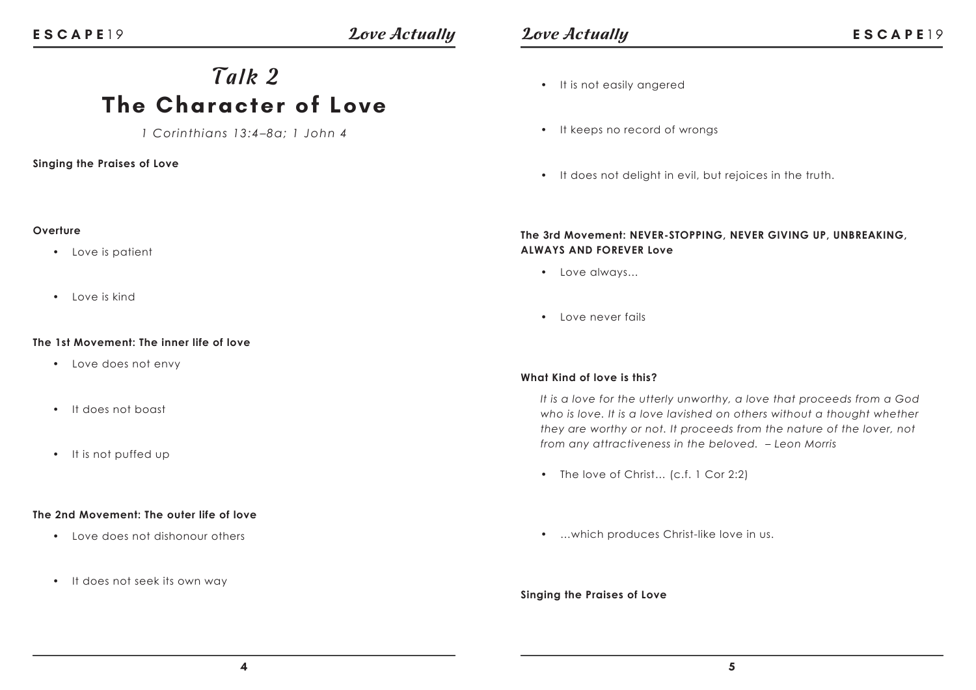**Overture**

### *Love Actually Love Actually ESCAPE19*

## *Talk 2* **The Character of Love**

*1 Corinthians 13:4–8a; 1 John 4*

### **Singing the Praises of Love**

• Love is patient

• Love is kind

### • It is not easily angered

- It keeps no record of wrongs
- It does not delight in evil, but rejoices in the truth.

### **The 3rd Movement: NEVER-STOPPING, NEVER GIVING UP, UNBREAKING, ALWAYS AND FOREVER Love**

- Love always…
- Love never fails

### **What Kind of love is this?**

*It is a love for the utterly unworthy, a love that proceeds from a God who is love. It is a love lavished on others without a thought whether they are worthy or not. It proceeds from the nature of the lover, not from any attractiveness in the beloved. – Leon Morris*

- The love of Christ... (c.f. 1 Cor 2:2)
- …which produces Christ-like love in us.

### **Singing the Praises of Love**

#### **The 1st Movement: The inner life of love**

- Love does not envy
- It does not boast
- It is not puffed up

### **The 2nd Movement: The outer life of love**

- Love does not dishonour others
- It does not seek its own way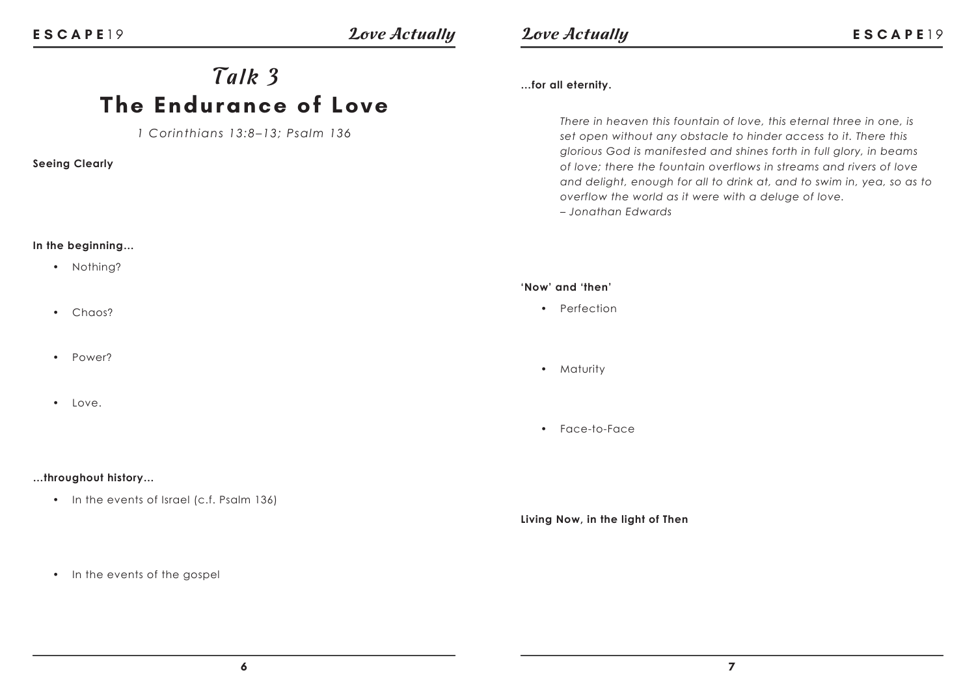### *Love Actually Love Actually ESCAPE19*

## *Talk 3* **The Endurance of Love**

*1 Corinthians 13:8–13; Psalm 136*

### **Seeing Clearly**

### **In the beginning…**

- Nothing?
- Chaos?
- Power?
- $\cdot$  Love.

### **…throughout history…**

- In the events of Israel (c.f. Psalm 136)
- In the events of the gospel

### **…for all eternity.**

*There in heaven this fountain of love, this eternal three in one, is set open without any obstacle to hinder access to it. There this glorious God is manifested and shines forth in full glory, in beams of love; there the fountain overflows in streams and rivers of love and delight, enough for all to drink at, and to swim in, yea, so as to overflow the world as it were with a deluge of love. – Jonathan Edwards*

#### **'Now' and 'then'**

- Perfection
- Maturity
- Face-to-Face

### **Living Now, in the light of Then**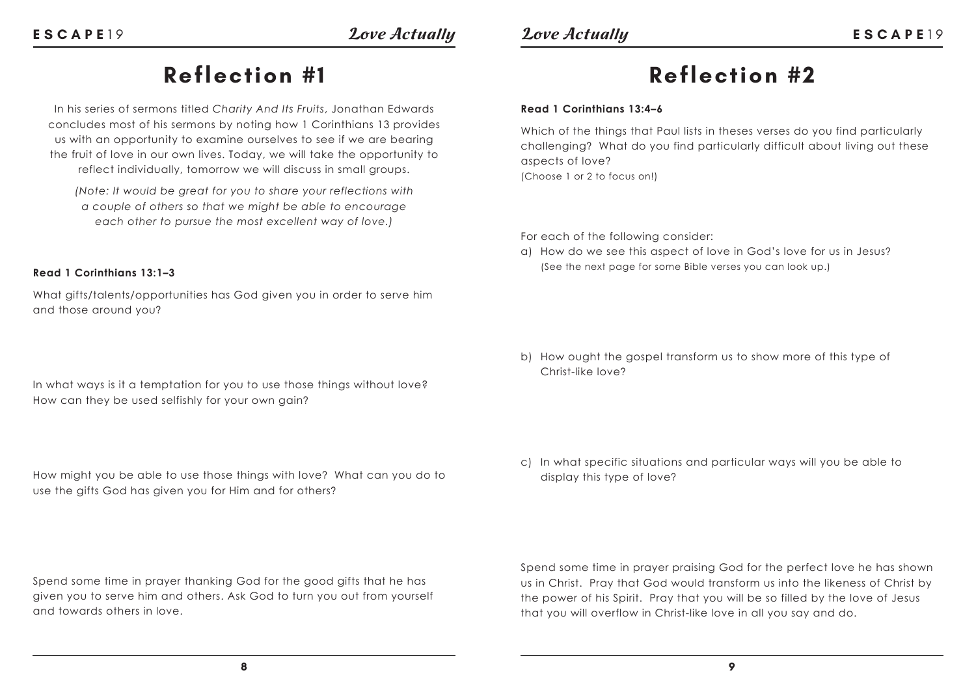## **Reflection #2**

### **Read 1 Corinthians 13:4–6**

Which of the things that Paul lists in theses verses do you find particularly challenging? What do you find particularly difficult about living out these aspects of love? (Choose 1 or 2 to focus on!)

For each of the following consider:

a) How do we see this aspect of love in God's love for us in Jesus? (See the next page for some Bible verses you can look up.)

b) How ought the gospel transform us to show more of this type of Christ-like love?

c) In what specific situations and particular ways will you be able to display this type of love?

Spend some time in prayer praising God for the perfect love he has shown us in Christ. Pray that God would transform us into the likeness of Christ by the power of his Spirit. Pray that you will be so filled by the love of Jesus that you will overflow in Christ-like love in all you say and do.

## **Reflection #1**

In his series of sermons titled *Charity And Its Fruits*, Jonathan Edwards concludes most of his sermons by noting how 1 Corinthians 13 provides us with an opportunity to examine ourselves to see if we are bearing the fruit of love in our own lives. Today, we will take the opportunity to reflect individually, tomorrow we will discuss in small groups.

*(Note: It would be great for you to share your reflections with a couple of others so that we might be able to encourage each other to pursue the most excellent way of love.)*

### **Read 1 Corinthians 13:1–3**

What gifts/talents/opportunities has God given you in order to serve him and those around you?

In what ways is it a temptation for you to use those things without love? How can they be used selfishly for your own gain?

How might you be able to use those things with love? What can you do to use the gifts God has given you for Him and for others?

Spend some time in prayer thanking God for the good gifts that he has given you to serve him and others. Ask God to turn you out from yourself and towards others in love.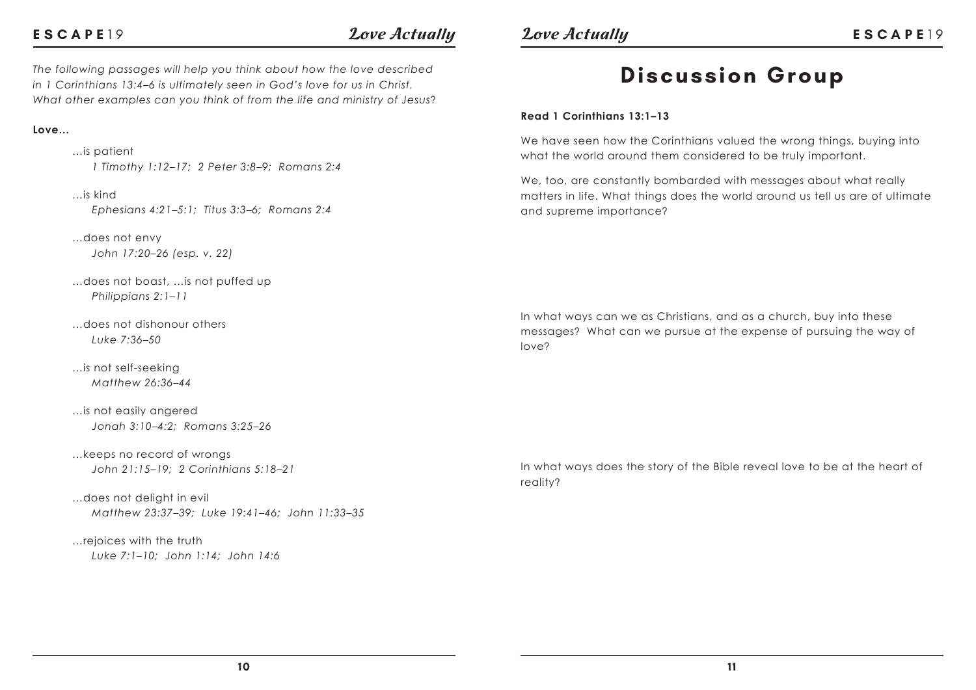### **ESCAPE**

*The following passages will help you think about how the love described in 1 Corinthians 13:4–6 is ultimately seen in God's love for us in Christ. What other examples can you think of from the life and ministry of Jesus*?

### **Love…**

 …is patient  *1 Timothy 1:12–17; 2 Peter 3:8–9; Romans 2:4*

 …is kind  *Ephesians 4:21–5:1; Titus 3:3–6; Romans 2:4*

 …does not envy  *John 17:20–26 (esp. v. 22)*

 …does not boast, …is not puffed up  *Philippians 2:1–11* 

 …does not dishonour others  *Luke 7:36–50*

 …is not self-seeking  *Matthew 26:36–44*

 …is not easily angered  *Jonah 3:10–4:2; Romans 3:25–26*

 …keeps no record of wrongs  *John 21:15–19; 2 Corinthians 5:18–21*

 …does not delight in evil  *Matthew 23:37–39; Luke 19:41–46; John 11:33–35*

 …rejoices with the truth  *Luke 7:1–10; John 1:14; John 14:6* <sup>19</sup>*Love Actually Love Actually* **ESCAPE** <sup>1</sup> <sup>9</sup>

## **Discussion Group**

#### **Read 1 Corinthians 13:1–13**

We have seen how the Corinthians valued the wrong things, buying into what the world around them considered to be truly important.

We, too, are constantly bombarded with messages about what really matters in life. What things does the world around us tell us are of ultimate and supreme importance?

In what ways can we as Christians, and as a church, buy into these messages? What can we pursue at the expense of pursuing the way of love?

In what ways does the story of the Bible reveal love to be at the heart of reality?